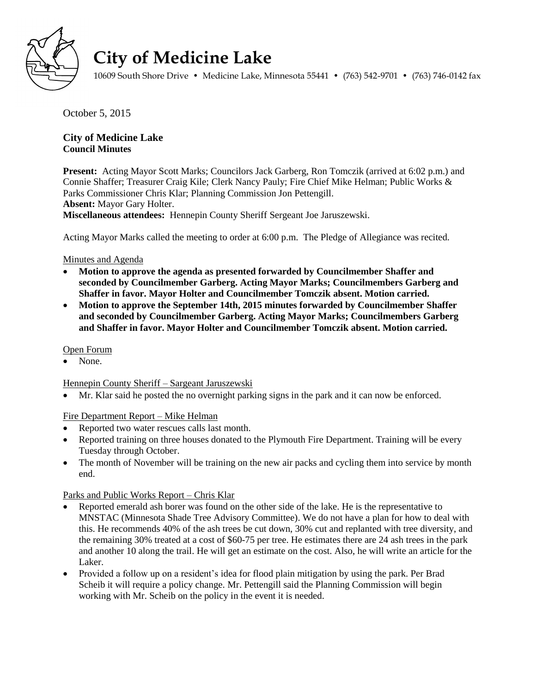

# **City of Medicine Lake**

10609 South Shore Drive • Medicine Lake, Minnesota 55441 • (763) 542-9701 • (763) 746-0142 fax

October 5, 2015

# **City of Medicine Lake Council Minutes**

**Present:** Acting Mayor Scott Marks; Councilors Jack Garberg, Ron Tomczik (arrived at 6:02 p.m.) and Connie Shaffer; Treasurer Craig Kile; Clerk Nancy Pauly; Fire Chief Mike Helman; Public Works & Parks Commissioner Chris Klar; Planning Commission Jon Pettengill. **Absent:** Mayor Gary Holter. **Miscellaneous attendees:** Hennepin County Sheriff Sergeant Joe Jaruszewski.

Acting Mayor Marks called the meeting to order at 6:00 p.m. The Pledge of Allegiance was recited.

### Minutes and Agenda

- **Motion to approve the agenda as presented forwarded by Councilmember Shaffer and seconded by Councilmember Garberg. Acting Mayor Marks; Councilmembers Garberg and Shaffer in favor. Mayor Holter and Councilmember Tomczik absent. Motion carried.**
- **Motion to approve the September 14th, 2015 minutes forwarded by Councilmember Shaffer and seconded by Councilmember Garberg. Acting Mayor Marks; Councilmembers Garberg and Shaffer in favor. Mayor Holter and Councilmember Tomczik absent. Motion carried.**

#### Open Forum

None.

#### Hennepin County Sheriff – Sargeant Jaruszewski

Mr. Klar said he posted the no overnight parking signs in the park and it can now be enforced.

#### Fire Department Report – Mike Helman

- Reported two water rescues calls last month.
- Reported training on three houses donated to the Plymouth Fire Department. Training will be every Tuesday through October.
- The month of November will be training on the new air packs and cycling them into service by month end.

# Parks and Public Works Report – Chris Klar

- Reported emerald ash borer was found on the other side of the lake. He is the representative to MNSTAC (Minnesota Shade Tree Advisory Committee). We do not have a plan for how to deal with this. He recommends 40% of the ash trees be cut down, 30% cut and replanted with tree diversity, and the remaining 30% treated at a cost of \$60-75 per tree. He estimates there are 24 ash trees in the park and another 10 along the trail. He will get an estimate on the cost. Also, he will write an article for the Laker.
- Provided a follow up on a resident's idea for flood plain mitigation by using the park. Per Brad Scheib it will require a policy change. Mr. Pettengill said the Planning Commission will begin working with Mr. Scheib on the policy in the event it is needed.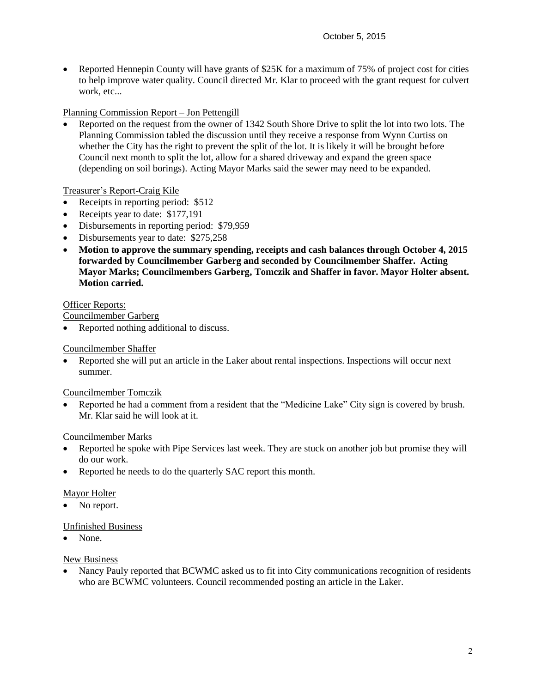• Reported Hennepin County will have grants of \$25K for a maximum of 75% of project cost for cities to help improve water quality. Council directed Mr. Klar to proceed with the grant request for culvert work, etc...

# Planning Commission Report – Jon Pettengill

 Reported on the request from the owner of 1342 South Shore Drive to split the lot into two lots. The Planning Commission tabled the discussion until they receive a response from Wynn Curtiss on whether the City has the right to prevent the split of the lot. It is likely it will be brought before Council next month to split the lot, allow for a shared driveway and expand the green space (depending on soil borings). Acting Mayor Marks said the sewer may need to be expanded.

# Treasurer's Report-Craig Kile

- Receipts in reporting period: \$512
- Receipts year to date: \$177,191
- Disbursements in reporting period: \$79,959
- Disbursements year to date: \$275,258
- **Motion to approve the summary spending, receipts and cash balances through October 4, 2015 forwarded by Councilmember Garberg and seconded by Councilmember Shaffer. Acting Mayor Marks; Councilmembers Garberg, Tomczik and Shaffer in favor. Mayor Holter absent. Motion carried.**

# Officer Reports:

Councilmember Garberg

• Reported nothing additional to discuss.

## Councilmember Shaffer

 Reported she will put an article in the Laker about rental inspections. Inspections will occur next summer.

# Councilmember Tomczik

 Reported he had a comment from a resident that the "Medicine Lake" City sign is covered by brush. Mr. Klar said he will look at it.

# Councilmember Marks

- Reported he spoke with Pipe Services last week. They are stuck on another job but promise they will do our work.
- Reported he needs to do the quarterly SAC report this month.

# Mayor Holter

• No report.

# Unfinished Business

None.

# New Business

 Nancy Pauly reported that BCWMC asked us to fit into City communications recognition of residents who are BCWMC volunteers. Council recommended posting an article in the Laker.